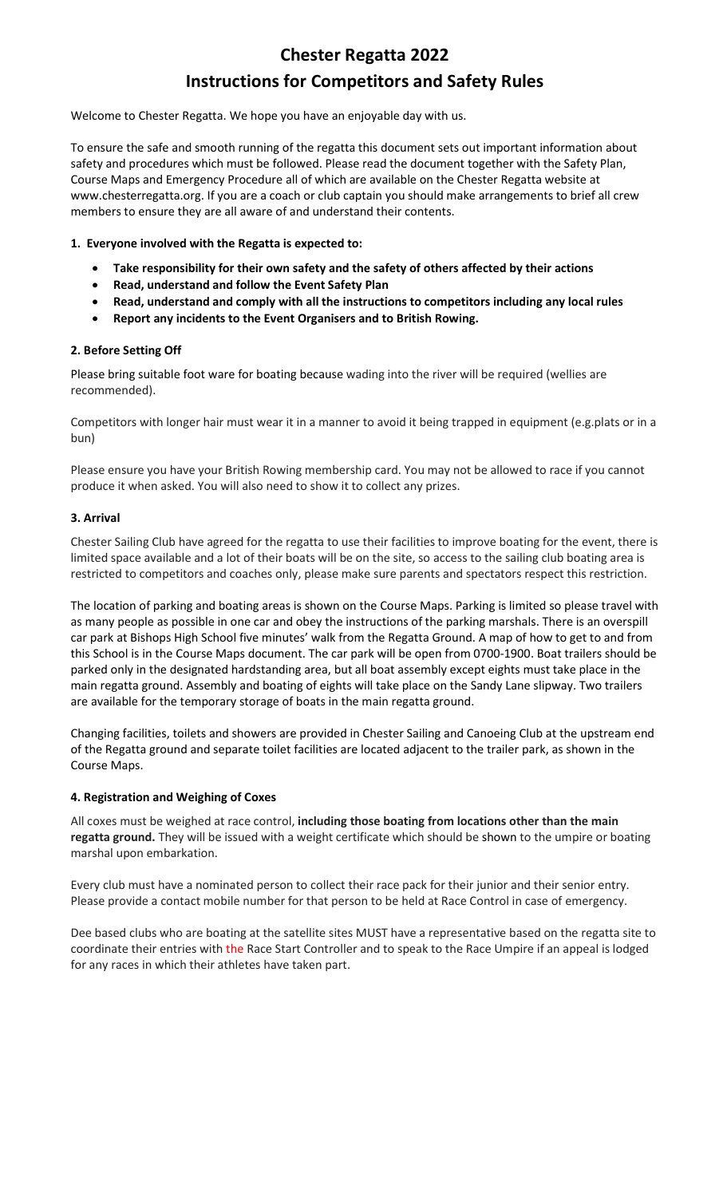# Chester Regatta 2022 Instructions for Competitors and Safety Rules

Welcome to Chester Regatta. We hope you have an enjoyable day with us.

To ensure the safe and smooth running of the regatta this document sets out important information about safety and procedures which must be followed. Please read the document together with the Safety Plan, Course Maps and Emergency Procedure all of which are available on the Chester Regatta website at www.chesterregatta.org. If you are a coach or club captain you should make arrangements to brief all crew members to ensure they are all aware of and understand their contents.

## 1. Everyone involved with the Regatta is expected to:

- Take responsibility for their own safety and the safety of others affected by their actions
- Read, understand and follow the Event Safety Plan
- Read, understand and comply with all the instructions to competitors including any local rules
- Report any incidents to the Event Organisers and to British Rowing.

### 2. Before Setting Off

Please bring suitable foot ware for boating because wading into the river will be required (wellies are recommended).

Competitors with longer hair must wear it in a manner to avoid it being trapped in equipment (e.g.plats or in a bun)

Please ensure you have your British Rowing membership card. You may not be allowed to race if you cannot produce it when asked. You will also need to show it to collect any prizes.

## 3. Arrival

Chester Sailing Club have agreed for the regatta to use their facilities to improve boating for the event, there is limited space available and a lot of their boats will be on the site, so access to the sailing club boating area is restricted to competitors and coaches only, please make sure parents and spectators respect this restriction.

The location of parking and boating areas is shown on the Course Maps. Parking is limited so please travel with as many people as possible in one car and obey the instructions of the parking marshals. There is an overspill car park at Bishops High School five minutes' walk from the Regatta Ground. A map of how to get to and from this School is in the Course Maps document. The car park will be open from 0700-1900. Boat trailers should be parked only in the designated hardstanding area, but all boat assembly except eights must take place in the main regatta ground. Assembly and boating of eights will take place on the Sandy Lane slipway. Two trailers are available for the temporary storage of boats in the main regatta ground.

Changing facilities, toilets and showers are provided in Chester Sailing and Canoeing Club at the upstream end of the Regatta ground and separate toilet facilities are located adjacent to the trailer park, as shown in the Course Maps.

### 4. Registration and Weighing of Coxes

All coxes must be weighed at race control, including those boating from locations other than the main regatta ground. They will be issued with a weight certificate which should be shown to the umpire or boating marshal upon embarkation.

Every club must have a nominated person to collect their race pack for their junior and their senior entry. Please provide a contact mobile number for that person to be held at Race Control in case of emergency.

Dee based clubs who are boating at the satellite sites MUST have a representative based on the regatta site to coordinate their entries with the Race Start Controller and to speak to the Race Umpire if an appeal is lodged for any races in which their athletes have taken part.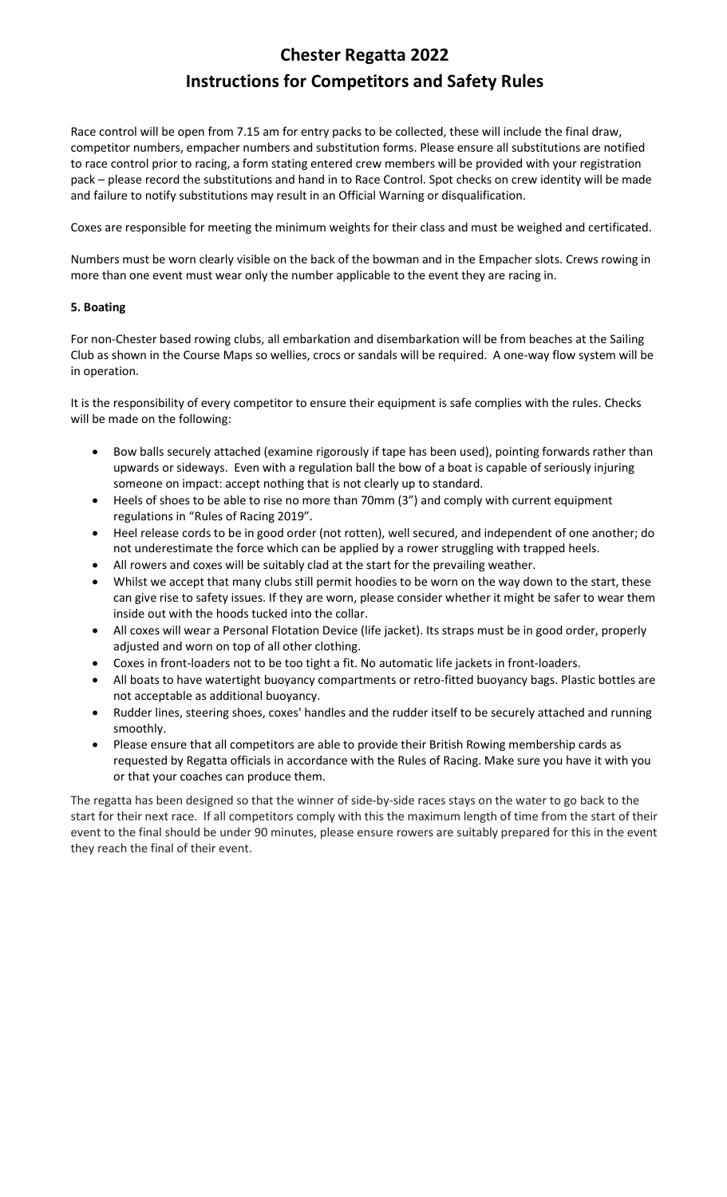# Chester Regatta 2022 Instructions for Competitors and Safety Rules

Race control will be open from 7.15 am for entry packs to be collected, these will include the final draw, competitor numbers, empacher numbers and substitution forms. Please ensure all substitutions are notified to race control prior to racing, a form stating entered crew members will be provided with your registration pack – please record the substitutions and hand in to Race Control. Spot checks on crew identity will be made and failure to notify substitutions may result in an Official Warning or disqualification.

Coxes are responsible for meeting the minimum weights for their class and must be weighed and certificated.

Numbers must be worn clearly visible on the back of the bowman and in the Empacher slots. Crews rowing in more than one event must wear only the number applicable to the event they are racing in.

## 5. Boating

For non-Chester based rowing clubs, all embarkation and disembarkation will be from beaches at the Sailing Club as shown in the Course Maps so wellies, crocs or sandals will be required. A one-way flow system will be in operation.

It is the responsibility of every competitor to ensure their equipment is safe complies with the rules. Checks will be made on the following:

- Bow balls securely attached (examine rigorously if tape has been used), pointing forwards rather than upwards or sideways. Even with a regulation ball the bow of a boat is capable of seriously injuring someone on impact: accept nothing that is not clearly up to standard.
- Heels of shoes to be able to rise no more than 70mm (3") and comply with current equipment regulations in "Rules of Racing 2019".
- Heel release cords to be in good order (not rotten), well secured, and independent of one another; do not underestimate the force which can be applied by a rower struggling with trapped heels.
- All rowers and coxes will be suitably clad at the start for the prevailing weather.
- Whilst we accept that many clubs still permit hoodies to be worn on the way down to the start, these can give rise to safety issues. If they are worn, please consider whether it might be safer to wear them inside out with the hoods tucked into the collar.
- All coxes will wear a Personal Flotation Device (life jacket). Its straps must be in good order, properly adjusted and worn on top of all other clothing.
- Coxes in front-loaders not to be too tight a fit. No automatic life jackets in front-loaders.
- All boats to have watertight buoyancy compartments or retro-fitted buoyancy bags. Plastic bottles are not acceptable as additional buoyancy.
- Rudder lines, steering shoes, coxes' handles and the rudder itself to be securely attached and running smoothly.
- Please ensure that all competitors are able to provide their British Rowing membership cards as requested by Regatta officials in accordance with the Rules of Racing. Make sure you have it with you or that your coaches can produce them.

The regatta has been designed so that the winner of side-by-side races stays on the water to go back to the start for their next race. If all competitors comply with this the maximum length of time from the start of their event to the final should be under 90 minutes, please ensure rowers are suitably prepared for this in the event they reach the final of their event.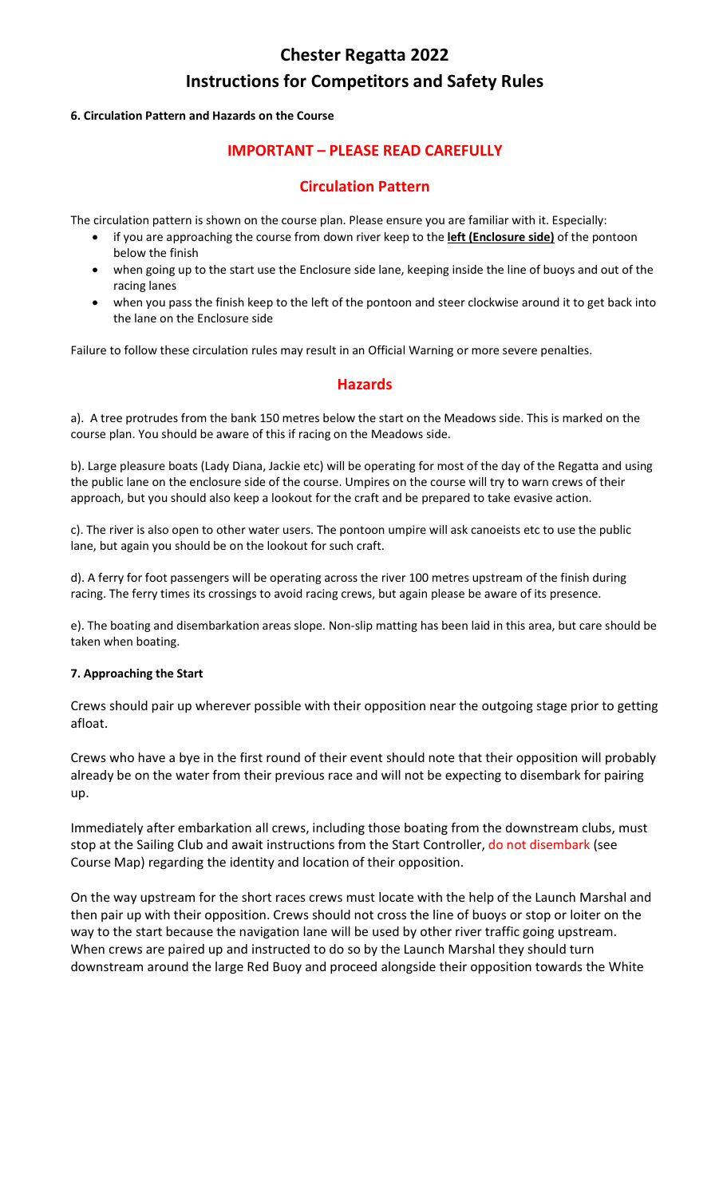# Chester Regatta 2022 Instructions for Competitors and Safety Rules

## 6. Circulation Pattern and Hazards on the Course

## IMPORTANT – PLEASE READ CAREFULLY

## Circulation Pattern

The circulation pattern is shown on the course plan. Please ensure you are familiar with it. Especially:

- if you are approaching the course from down river keep to the **left (Enclosure side)** of the pontoon below the finish
- when going up to the start use the Enclosure side lane, keeping inside the line of buoys and out of the racing lanes
- when you pass the finish keep to the left of the pontoon and steer clockwise around it to get back into the lane on the Enclosure side

Failure to follow these circulation rules may result in an Official Warning or more severe penalties.

## Hazards

a). A tree protrudes from the bank 150 metres below the start on the Meadows side. This is marked on the course plan. You should be aware of this if racing on the Meadows side.

b). Large pleasure boats (Lady Diana, Jackie etc) will be operating for most of the day of the Regatta and using the public lane on the enclosure side of the course. Umpires on the course will try to warn crews of their approach, but you should also keep a lookout for the craft and be prepared to take evasive action.

c). The river is also open to other water users. The pontoon umpire will ask canoeists etc to use the public lane, but again you should be on the lookout for such craft.

d). A ferry for foot passengers will be operating across the river 100 metres upstream of the finish during racing. The ferry times its crossings to avoid racing crews, but again please be aware of its presence.

e). The boating and disembarkation areas slope. Non-slip matting has been laid in this area, but care should be taken when boating.

## 7. Approaching the Start

Crews should pair up wherever possible with their opposition near the outgoing stage prior to getting afloat.

Crews who have a bye in the first round of their event should note that their opposition will probably already be on the water from their previous race and will not be expecting to disembark for pairing up.

Immediately after embarkation all crews, including those boating from the downstream clubs, must stop at the Sailing Club and await instructions from the Start Controller, do not disembark (see Course Map) regarding the identity and location of their opposition.

On the way upstream for the short races crews must locate with the help of the Launch Marshal and then pair up with their opposition. Crews should not cross the line of buoys or stop or loiter on the way to the start because the navigation lane will be used by other river traffic going upstream. When crews are paired up and instructed to do so by the Launch Marshal they should turn downstream around the large Red Buoy and proceed alongside their opposition towards the White